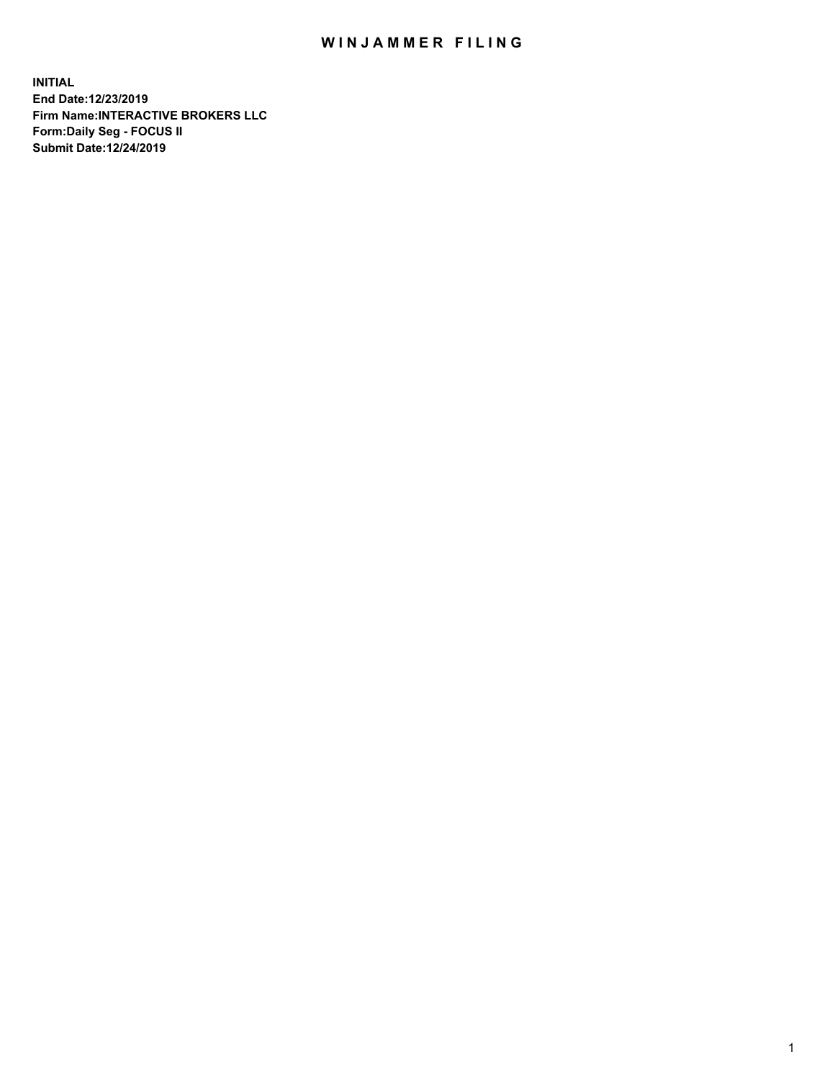## WIN JAMMER FILING

**INITIAL End Date:12/23/2019 Firm Name:INTERACTIVE BROKERS LLC Form:Daily Seg - FOCUS II Submit Date:12/24/2019**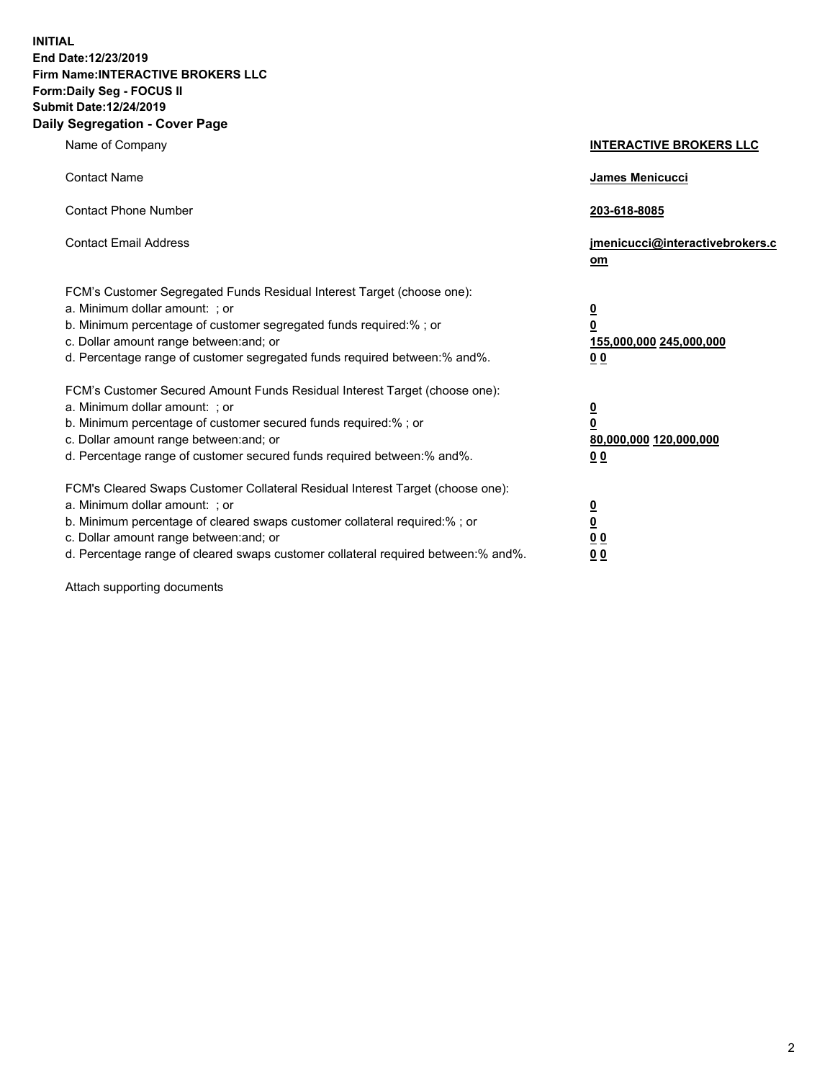**INITIAL End Date:12/23/2019 Firm Name:INTERACTIVE BROKERS LLC Form:Daily Seg - FOCUS II Submit Date:12/24/2019 Daily Segregation - Cover Page**

| Name of Company                                                                                                                                                                                                                                                                                                                | <b>INTERACTIVE BROKERS LLC</b>                                                                  |
|--------------------------------------------------------------------------------------------------------------------------------------------------------------------------------------------------------------------------------------------------------------------------------------------------------------------------------|-------------------------------------------------------------------------------------------------|
| <b>Contact Name</b>                                                                                                                                                                                                                                                                                                            | James Menicucci                                                                                 |
| <b>Contact Phone Number</b>                                                                                                                                                                                                                                                                                                    | 203-618-8085                                                                                    |
| <b>Contact Email Address</b>                                                                                                                                                                                                                                                                                                   | jmenicucci@interactivebrokers.c<br>om                                                           |
| FCM's Customer Segregated Funds Residual Interest Target (choose one):<br>a. Minimum dollar amount: ; or<br>b. Minimum percentage of customer segregated funds required:% ; or<br>c. Dollar amount range between: and; or<br>d. Percentage range of customer segregated funds required between:% and%.                         | $\overline{\mathbf{0}}$<br>$\overline{\mathbf{0}}$<br>155,000,000 245,000,000<br>0 <sub>0</sub> |
| FCM's Customer Secured Amount Funds Residual Interest Target (choose one):<br>a. Minimum dollar amount: ; or<br>b. Minimum percentage of customer secured funds required:%; or<br>c. Dollar amount range between: and; or<br>d. Percentage range of customer secured funds required between:% and%.                            | $\overline{\mathbf{0}}$<br>$\overline{\mathbf{0}}$<br>80,000,000 120,000,000<br>0 <sub>0</sub>  |
| FCM's Cleared Swaps Customer Collateral Residual Interest Target (choose one):<br>a. Minimum dollar amount: ; or<br>b. Minimum percentage of cleared swaps customer collateral required:% ; or<br>c. Dollar amount range between: and; or<br>d. Percentage range of cleared swaps customer collateral required between:% and%. | $\overline{\mathbf{0}}$<br>$\underline{\mathbf{0}}$<br>0 <sub>0</sub><br>0 <sub>0</sub>         |

Attach supporting documents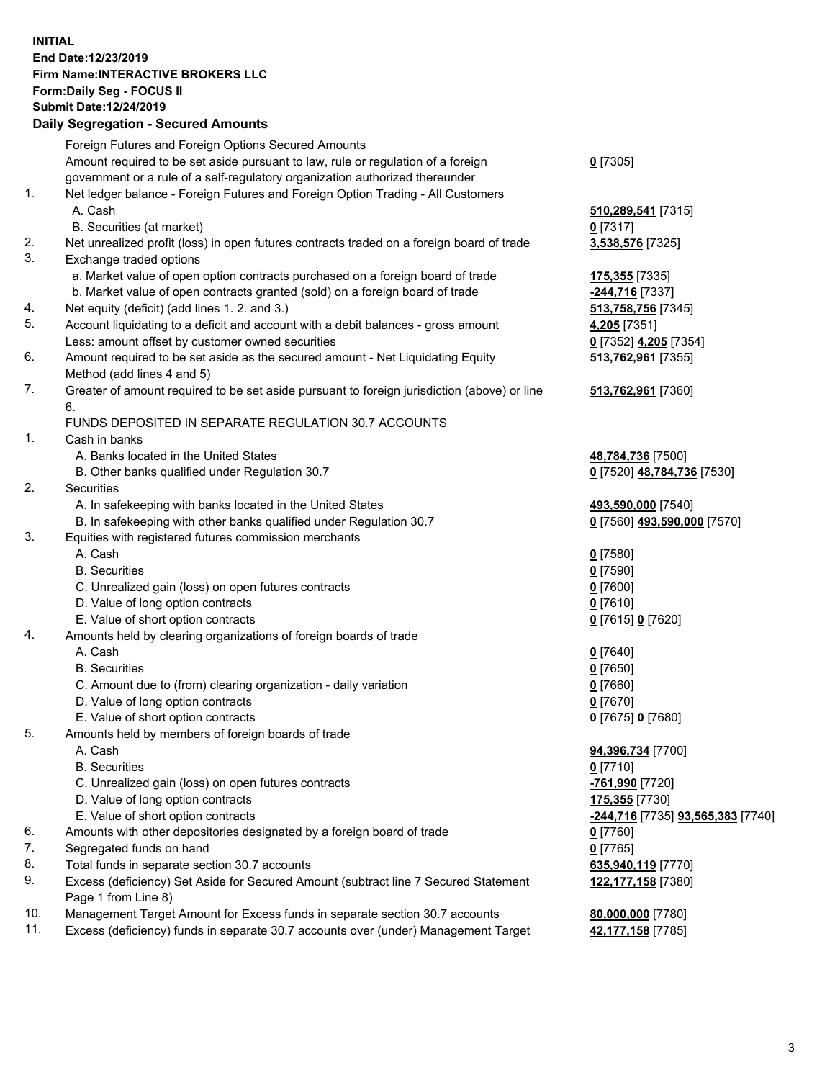## **INITIAL End Date:12/23/2019 Firm Name:INTERACTIVE BROKERS LLC Form:Daily Seg - FOCUS II Submit Date:12/24/2019 Daily Segregation - Secured Amounts**

|     | Daily Segregation - Secured Amounts                                                               |                                   |
|-----|---------------------------------------------------------------------------------------------------|-----------------------------------|
|     | Foreign Futures and Foreign Options Secured Amounts                                               |                                   |
|     | Amount required to be set aside pursuant to law, rule or regulation of a foreign                  | $0$ [7305]                        |
|     | government or a rule of a self-regulatory organization authorized thereunder                      |                                   |
| 1.  | Net ledger balance - Foreign Futures and Foreign Option Trading - All Customers                   |                                   |
|     | A. Cash                                                                                           | 510,289,541 [7315]                |
|     | B. Securities (at market)                                                                         | $0$ [7317]                        |
| 2.  | Net unrealized profit (loss) in open futures contracts traded on a foreign board of trade         | 3,538,576 [7325]                  |
| 3.  | Exchange traded options                                                                           |                                   |
|     | a. Market value of open option contracts purchased on a foreign board of trade                    | 175,355 [7335]                    |
|     | b. Market value of open contracts granted (sold) on a foreign board of trade                      | -244,716 [7337]                   |
| 4.  | Net equity (deficit) (add lines 1. 2. and 3.)                                                     | 513,758,756 [7345]                |
| 5.  | Account liquidating to a deficit and account with a debit balances - gross amount                 | 4,205 [7351]                      |
|     | Less: amount offset by customer owned securities                                                  | 0 [7352] 4,205 [7354]             |
| 6.  | Amount required to be set aside as the secured amount - Net Liquidating Equity                    | 513,762,961 [7355]                |
|     | Method (add lines 4 and 5)                                                                        |                                   |
| 7.  | Greater of amount required to be set aside pursuant to foreign jurisdiction (above) or line<br>6. | 513,762,961 [7360]                |
|     | FUNDS DEPOSITED IN SEPARATE REGULATION 30.7 ACCOUNTS                                              |                                   |
| 1.  | Cash in banks                                                                                     |                                   |
|     | A. Banks located in the United States                                                             | 48,784,736 [7500]                 |
|     | B. Other banks qualified under Regulation 30.7                                                    | 0 [7520] 48,784,736 [7530]        |
| 2.  | Securities                                                                                        |                                   |
|     | A. In safekeeping with banks located in the United States                                         | 493,590,000 [7540]                |
|     | B. In safekeeping with other banks qualified under Regulation 30.7                                | 0 [7560] 493,590,000 [7570]       |
| 3.  | Equities with registered futures commission merchants                                             |                                   |
|     | A. Cash                                                                                           | $0$ [7580]                        |
|     | <b>B.</b> Securities                                                                              | $0$ [7590]                        |
|     | C. Unrealized gain (loss) on open futures contracts                                               | $0$ [7600]                        |
|     | D. Value of long option contracts                                                                 | $0$ [7610]                        |
|     | E. Value of short option contracts                                                                | 0 [7615] 0 [7620]                 |
| 4.  | Amounts held by clearing organizations of foreign boards of trade                                 |                                   |
|     | A. Cash                                                                                           | $0$ [7640]                        |
|     | <b>B.</b> Securities                                                                              | $0$ [7650]                        |
|     | C. Amount due to (from) clearing organization - daily variation                                   | $0$ [7660]                        |
|     | D. Value of long option contracts                                                                 | $0$ [7670]                        |
|     | E. Value of short option contracts                                                                | 0 [7675] 0 [7680]                 |
| 5.  | Amounts held by members of foreign boards of trade                                                |                                   |
|     | A. Cash                                                                                           | 94,396,734 [7700]                 |
|     | <b>B.</b> Securities                                                                              | $0$ [7710]                        |
|     | C. Unrealized gain (loss) on open futures contracts                                               | -761,990 [7720]                   |
|     | D. Value of long option contracts                                                                 | 175,355 [7730]                    |
|     | E. Value of short option contracts                                                                | -244,716 [7735] 93,565,383 [7740] |
| 6.  | Amounts with other depositories designated by a foreign board of trade                            | 0 [7760]                          |
| 7.  | Segregated funds on hand                                                                          | $0$ [7765]                        |
| 8.  | Total funds in separate section 30.7 accounts                                                     | 635,940,119 [7770]                |
| 9.  | Excess (deficiency) Set Aside for Secured Amount (subtract line 7 Secured Statement               | 122, 177, 158 [7380]              |
|     | Page 1 from Line 8)                                                                               |                                   |
| 10. | Management Target Amount for Excess funds in separate section 30.7 accounts                       | 80,000,000 [7780]                 |
| 11. | Excess (deficiency) funds in separate 30.7 accounts over (under) Management Target                | 42,177,158 [7785]                 |
|     |                                                                                                   |                                   |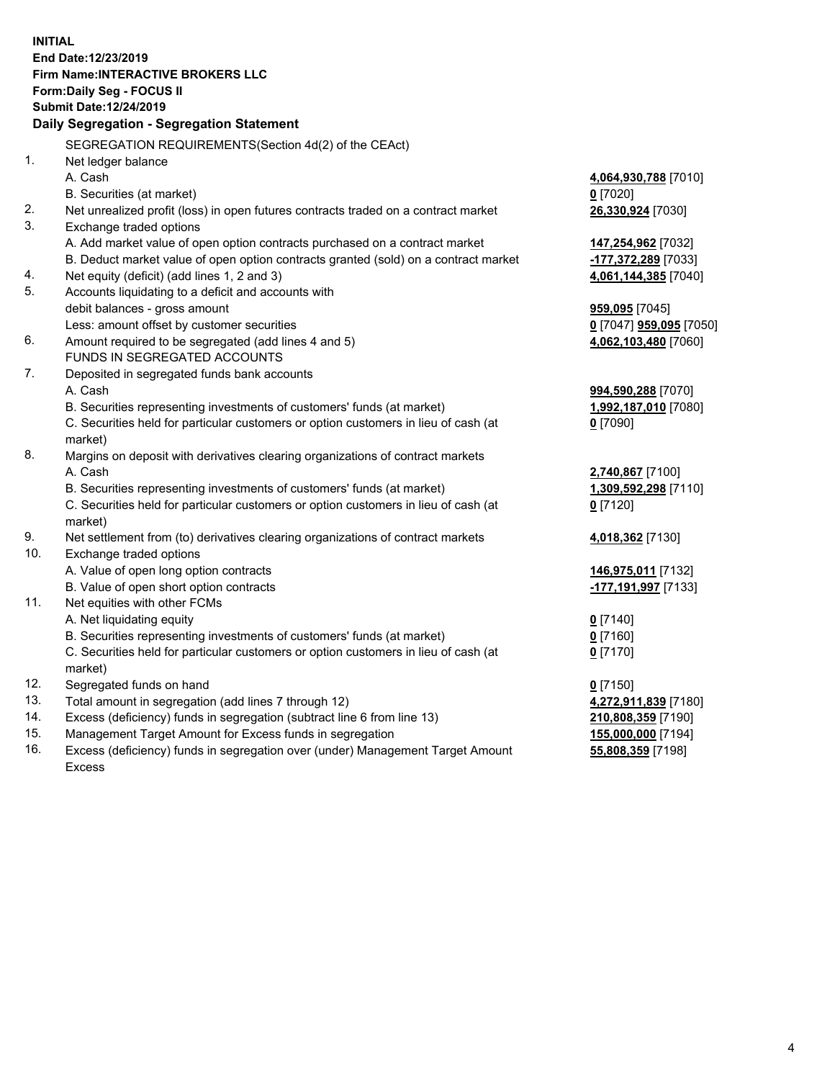**INITIAL End Date:12/23/2019 Firm Name:INTERACTIVE BROKERS LLC Form:Daily Seg - FOCUS II Submit Date:12/24/2019 Daily Segregation - Segregation Statement** SEGREGATION REQUIREMENTS(Section 4d(2) of the CEAct) 1. Net ledger balance A. Cash **4,064,930,788** [7010] B. Securities (at market) **0** [7020] 2. Net unrealized profit (loss) in open futures contracts traded on a contract market **26,330,924** [7030] 3. Exchange traded options A. Add market value of open option contracts purchased on a contract market **147,254,962** [7032] B. Deduct market value of open option contracts granted (sold) on a contract market **-177,372,289** [7033] 4. Net equity (deficit) (add lines 1, 2 and 3) **4,061,144,385** [7040] 5. Accounts liquidating to a deficit and accounts with debit balances - gross amount **959,095** [7045] Less: amount offset by customer securities **0** [7047] **959,095** [7050] 6. Amount required to be segregated (add lines 4 and 5) **4,062,103,480** [7060] FUNDS IN SEGREGATED ACCOUNTS 7. Deposited in segregated funds bank accounts A. Cash **994,590,288** [7070] B. Securities representing investments of customers' funds (at market) **1,992,187,010** [7080] C. Securities held for particular customers or option customers in lieu of cash (at market) **0** [7090] 8. Margins on deposit with derivatives clearing organizations of contract markets A. Cash **2,740,867** [7100] B. Securities representing investments of customers' funds (at market) **1,309,592,298** [7110] C. Securities held for particular customers or option customers in lieu of cash (at market) **0** [7120] 9. Net settlement from (to) derivatives clearing organizations of contract markets **4,018,362** [7130] 10. Exchange traded options A. Value of open long option contracts **146,975,011** [7132] B. Value of open short option contracts **-177,191,997** [7133] 11. Net equities with other FCMs A. Net liquidating equity **0** [7140] B. Securities representing investments of customers' funds (at market) **0** [7160] C. Securities held for particular customers or option customers in lieu of cash (at market) **0** [7170] 12. Segregated funds on hand **0** [7150] 13. Total amount in segregation (add lines 7 through 12) **4,272,911,839** [7180] 14. Excess (deficiency) funds in segregation (subtract line 6 from line 13) **210,808,359** [7190] 15. Management Target Amount for Excess funds in segregation **155,000,000** [7194] **55,808,359** [7198]

16. Excess (deficiency) funds in segregation over (under) Management Target Amount Excess